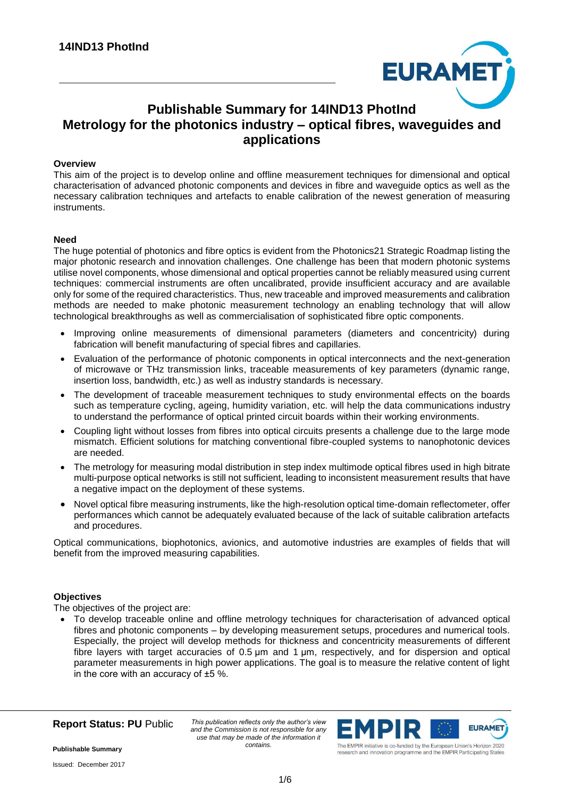

# **Publishable Summary for 14IND13 PhotInd Metrology for the photonics industry – optical fibres, waveguides and applications**

#### **Overview**

This aim of the project is to develop online and offline measurement techniques for dimensional and optical characterisation of advanced photonic components and devices in fibre and waveguide optics as well as the necessary calibration techniques and artefacts to enable calibration of the newest generation of measuring instruments.

## **Need**

The huge potential of photonics and fibre optics is evident from the Photonics21 Strategic Roadmap listing the major photonic research and innovation challenges. One challenge has been that modern photonic systems utilise novel components, whose dimensional and optical properties cannot be reliably measured using current techniques: commercial instruments are often uncalibrated, provide insufficient accuracy and are available only for some of the required characteristics. Thus, new traceable and improved measurements and calibration methods are needed to make photonic measurement technology an enabling technology that will allow technological breakthroughs as well as commercialisation of sophisticated fibre optic components.

- Improving online measurements of dimensional parameters (diameters and concentricity) during fabrication will benefit manufacturing of special fibres and capillaries.
- Evaluation of the performance of photonic components in optical interconnects and the next-generation of microwave or THz transmission links, traceable measurements of key parameters (dynamic range, insertion loss, bandwidth, etc.) as well as industry standards is necessary.
- The development of traceable measurement techniques to study environmental effects on the boards such as temperature cycling, ageing, humidity variation, etc. will help the data communications industry to understand the performance of optical printed circuit boards within their working environments.
- Coupling light without losses from fibres into optical circuits presents a challenge due to the large mode mismatch. Efficient solutions for matching conventional fibre-coupled systems to nanophotonic devices are needed.
- The metrology for measuring modal distribution in step index multimode optical fibres used in high bitrate multi-purpose optical networks is still not sufficient, leading to inconsistent measurement results that have a negative impact on the deployment of these systems.
- Novel optical fibre measuring instruments, like the high-resolution optical time-domain reflectometer, offer performances which cannot be adequately evaluated because of the lack of suitable calibration artefacts and procedures.

Optical communications, biophotonics, avionics, and automotive industries are examples of fields that will benefit from the improved measuring capabilities.

#### **Objectives**

The objectives of the project are:

 To develop traceable online and offline metrology techniques for characterisation of advanced optical fibres and photonic components – by developing measurement setups, procedures and numerical tools. Especially, the project will develop methods for thickness and concentricity measurements of different fibre layers with target accuracies of 0.5 μm and 1 μm, respectively, and for dispersion and optical parameter measurements in high power applications. The goal is to measure the relative content of light in the core with an accuracy of  $\pm 5$  %.



*This publication reflects only the author's view and the Commission is not responsible for any use that may be made of the information it contains.*



research and innovation programme and the EMPIR Participating States

**Publishable Summary**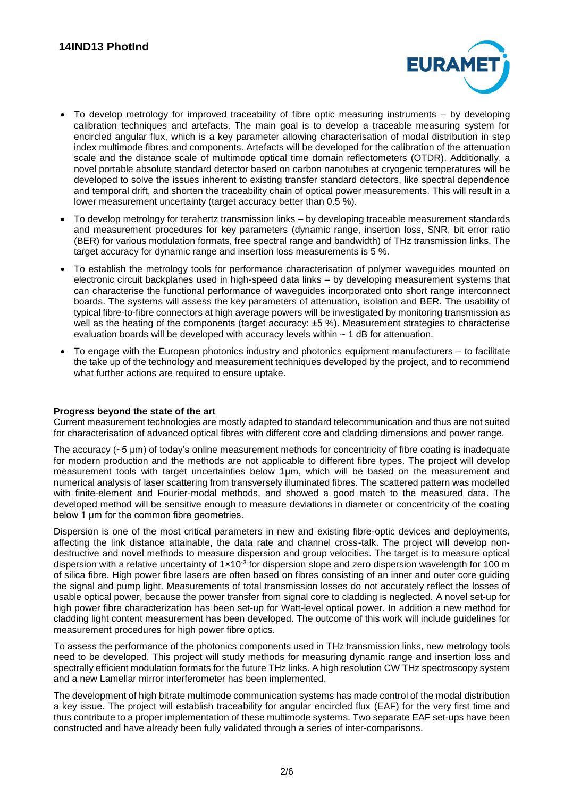

- To develop metrology for improved traceability of fibre optic measuring instruments by developing calibration techniques and artefacts. The main goal is to develop a traceable measuring system for encircled angular flux, which is a key parameter allowing characterisation of modal distribution in step index multimode fibres and components. Artefacts will be developed for the calibration of the attenuation scale and the distance scale of multimode optical time domain reflectometers (OTDR). Additionally, a novel portable absolute standard detector based on carbon nanotubes at cryogenic temperatures will be developed to solve the issues inherent to existing transfer standard detectors, like spectral dependence and temporal drift, and shorten the traceability chain of optical power measurements. This will result in a lower measurement uncertainty (target accuracy better than 0.5 %).
- To develop metrology for terahertz transmission links by developing traceable measurement standards and measurement procedures for key parameters (dynamic range, insertion loss, SNR, bit error ratio (BER) for various modulation formats, free spectral range and bandwidth) of THz transmission links. The target accuracy for dynamic range and insertion loss measurements is 5 %.
- To establish the metrology tools for performance characterisation of polymer waveguides mounted on electronic circuit backplanes used in high-speed data links – by developing measurement systems that can characterise the functional performance of waveguides incorporated onto short range interconnect boards. The systems will assess the key parameters of attenuation, isolation and BER. The usability of typical fibre-to-fibre connectors at high average powers will be investigated by monitoring transmission as well as the heating of the components (target accuracy: ±5 %). Measurement strategies to characterise evaluation boards will be developed with accuracy levels within ~ 1 dB for attenuation.
- To engage with the European photonics industry and photonics equipment manufacturers to facilitate the take up of the technology and measurement techniques developed by the project, and to recommend what further actions are required to ensure uptake.

# **Progress beyond the state of the art**

Current measurement technologies are mostly adapted to standard telecommunication and thus are not suited for characterisation of advanced optical fibres with different core and cladding dimensions and power range.

The accuracy (~5 μm) of today's online measurement methods for concentricity of fibre coating is inadequate for modern production and the methods are not applicable to different fibre types. The project will develop measurement tools with target uncertainties below 1µm, which will be based on the measurement and numerical analysis of laser scattering from transversely illuminated fibres. The scattered pattern was modelled with finite-element and Fourier-modal methods, and showed a good match to the measured data. The developed method will be sensitive enough to measure deviations in diameter or concentricity of the coating below 1 um for the common fibre geometries.

Dispersion is one of the most critical parameters in new and existing fibre-optic devices and deployments, affecting the link distance attainable, the data rate and channel cross-talk. The project will develop nondestructive and novel methods to measure dispersion and group velocities. The target is to measure optical dispersion with a relative uncertainty of  $1\times10^{-3}$  for dispersion slope and zero dispersion wavelength for 100 m of silica fibre. High power fibre lasers are often based on fibres consisting of an inner and outer core guiding the signal and pump light. Measurements of total transmission losses do not accurately reflect the losses of usable optical power, because the power transfer from signal core to cladding is neglected. A novel set-up for high power fibre characterization has been set-up for Watt-level optical power. In addition a new method for cladding light content measurement has been developed. The outcome of this work will include guidelines for measurement procedures for high power fibre optics.

To assess the performance of the photonics components used in THz transmission links, new metrology tools need to be developed. This project will study methods for measuring dynamic range and insertion loss and spectrally efficient modulation formats for the future THz links. A high resolution CW THz spectroscopy system and a new Lamellar mirror interferometer has been implemented.

The development of high bitrate multimode communication systems has made control of the modal distribution a key issue. The project will establish traceability for angular encircled flux (EAF) for the very first time and thus contribute to a proper implementation of these multimode systems. Two separate EAF set-ups have been constructed and have already been fully validated through a series of inter-comparisons.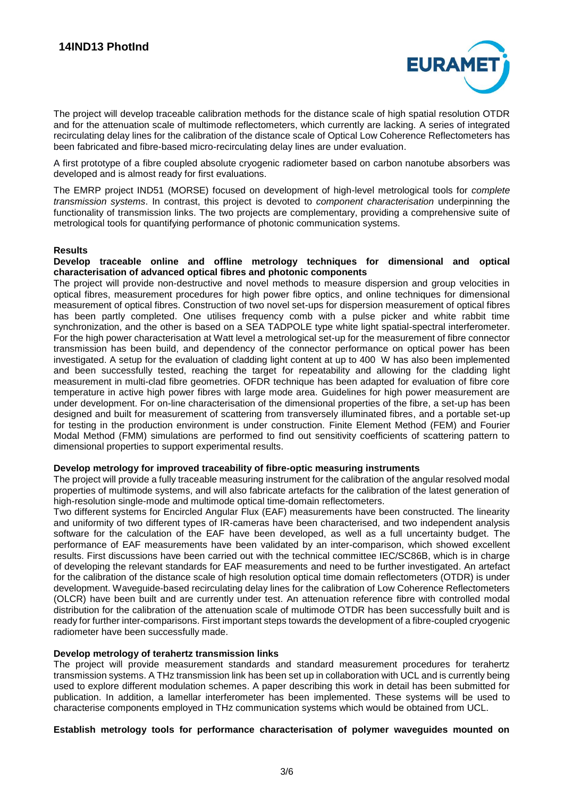

The project will develop traceable calibration methods for the distance scale of high spatial resolution OTDR and for the attenuation scale of multimode reflectometers, which currently are lacking. A series of integrated recirculating delay lines for the calibration of the distance scale of Optical Low Coherence Reflectometers has been fabricated and fibre-based micro-recirculating delay lines are under evaluation.

A first prototype of a fibre coupled absolute cryogenic radiometer based on carbon nanotube absorbers was developed and is almost ready for first evaluations.

The EMRP project IND51 (MORSE) focused on development of high-level metrological tools for *complete transmission systems*. In contrast, this project is devoted to *component characterisation* underpinning the functionality of transmission links. The two projects are complementary, providing a comprehensive suite of metrological tools for quantifying performance of photonic communication systems.

## **Results**

#### **Develop traceable online and offline metrology techniques for dimensional and optical characterisation of advanced optical fibres and photonic components**

The project will provide non-destructive and novel methods to measure dispersion and group velocities in optical fibres, measurement procedures for high power fibre optics, and online techniques for dimensional measurement of optical fibres. Construction of two novel set-ups for dispersion measurement of optical fibres has been partly completed. One utilises frequency comb with a pulse picker and white rabbit time synchronization, and the other is based on a SEA TADPOLE type white light spatial-spectral interferometer. For the high power characterisation at Watt level a metrological set-up for the measurement of fibre connector transmission has been build, and dependency of the connector performance on optical power has been investigated. A setup for the evaluation of cladding light content at up to 400 W has also been implemented and been successfully tested, reaching the target for repeatability and allowing for the cladding light measurement in multi-clad fibre geometries. OFDR technique has been adapted for evaluation of fibre core temperature in active high power fibres with large mode area. Guidelines for high power measurement are under development. For on-line characterisation of the dimensional properties of the fibre, a set-up has been designed and built for measurement of scattering from transversely illuminated fibres, and a portable set-up for testing in the production environment is under construction. Finite Element Method (FEM) and Fourier Modal Method (FMM) simulations are performed to find out sensitivity coefficients of scattering pattern to dimensional properties to support experimental results.

#### **Develop metrology for improved traceability of fibre-optic measuring instruments**

The project will provide a fully traceable measuring instrument for the calibration of the angular resolved modal properties of multimode systems, and will also fabricate artefacts for the calibration of the latest generation of high-resolution single-mode and multimode optical time-domain reflectometers.

Two different systems for Encircled Angular Flux (EAF) measurements have been constructed. The linearity and uniformity of two different types of IR-cameras have been characterised, and two independent analysis software for the calculation of the EAF have been developed, as well as a full uncertainty budget. The performance of EAF measurements have been validated by an inter-comparison, which showed excellent results. First discussions have been carried out with the technical committee IEC/SC86B, which is in charge of developing the relevant standards for EAF measurements and need to be further investigated. An artefact for the calibration of the distance scale of high resolution optical time domain reflectometers (OTDR) is under development. Waveguide-based recirculating delay lines for the calibration of Low Coherence Reflectometers (OLCR) have been built and are currently under test. An attenuation reference fibre with controlled modal distribution for the calibration of the attenuation scale of multimode OTDR has been successfully built and is ready for further inter-comparisons. First important steps towards the development of a fibre-coupled cryogenic radiometer have been successfully made.

#### **Develop metrology of terahertz transmission links**

The project will provide measurement standards and standard measurement procedures for terahertz transmission systems. A THz transmission link has been set up in collaboration with UCL and is currently being used to explore different modulation schemes. A paper describing this work in detail has been submitted for publication. In addition, a lamellar interferometer has been implemented. These systems will be used to characterise components employed in THz communication systems which would be obtained from UCL.

**Establish metrology tools for performance characterisation of polymer waveguides mounted on**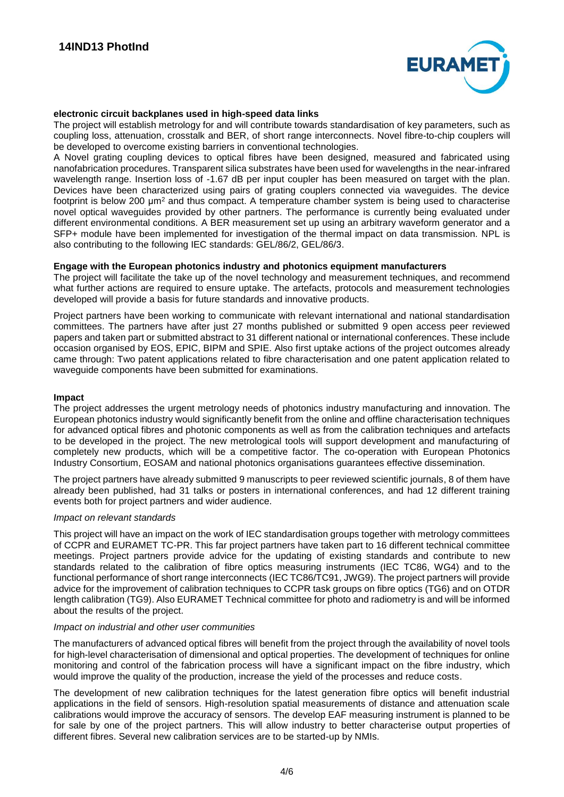

## **electronic circuit backplanes used in high-speed data links**

The project will establish metrology for and will contribute towards standardisation of key parameters, such as coupling loss, attenuation, crosstalk and BER, of short range interconnects. Novel fibre-to-chip couplers will be developed to overcome existing barriers in conventional technologies.

A Novel grating coupling devices to optical fibres have been designed, measured and fabricated using nanofabrication procedures. Transparent silica substrates have been used for wavelengths in the near-infrared wavelength range. Insertion loss of -1.67 dB per input coupler has been measured on target with the plan. Devices have been characterized using pairs of grating couplers connected via waveguides. The device footprint is below 200 µm<sup>2</sup> and thus compact. A temperature chamber system is being used to characterise novel optical waveguides provided by other partners. The performance is currently being evaluated under different environmental conditions. A BER measurement set up using an arbitrary waveform generator and a SFP+ module have been implemented for investigation of the thermal impact on data transmission. NPL is also contributing to the following IEC standards: GEL/86/2, GEL/86/3.

# **Engage with the European photonics industry and photonics equipment manufacturers**

The project will facilitate the take up of the novel technology and measurement techniques, and recommend what further actions are required to ensure uptake. The artefacts, protocols and measurement technologies developed will provide a basis for future standards and innovative products.

Project partners have been working to communicate with relevant international and national standardisation committees. The partners have after just 27 months published or submitted 9 open access peer reviewed papers and taken part or submitted abstract to 31 different national or international conferences. These include occasion organised by EOS, EPIC, BIPM and SPIE. Also first uptake actions of the project outcomes already came through: Two patent applications related to fibre characterisation and one patent application related to waveguide components have been submitted for examinations.

#### **Impact**

The project addresses the urgent metrology needs of photonics industry manufacturing and innovation. The European photonics industry would significantly benefit from the online and offline characterisation techniques for advanced optical fibres and photonic components as well as from the calibration techniques and artefacts to be developed in the project. The new metrological tools will support development and manufacturing of completely new products, which will be a competitive factor. The co-operation with European Photonics Industry Consortium, EOSAM and national photonics organisations guarantees effective dissemination.

The project partners have already submitted 9 manuscripts to peer reviewed scientific journals, 8 of them have already been published, had 31 talks or posters in international conferences, and had 12 different training events both for project partners and wider audience.

#### *Impact on relevant standards*

This project will have an impact on the work of IEC standardisation groups together with metrology committees of CCPR and EURAMET TC-PR. This far project partners have taken part to 16 different technical committee meetings. Project partners provide advice for the updating of existing standards and contribute to new standards related to the calibration of fibre optics measuring instruments (IEC TC86, WG4) and to the functional performance of short range interconnects (IEC TC86/TC91, JWG9). The project partners will provide advice for the improvement of calibration techniques to CCPR task groups on fibre optics (TG6) and on OTDR length calibration (TG9). Also EURAMET Technical committee for photo and radiometry is and will be informed about the results of the project.

#### *Impact on industrial and other user communities*

The manufacturers of advanced optical fibres will benefit from the project through the availability of novel tools for high-level characterisation of dimensional and optical properties. The development of techniques for online monitoring and control of the fabrication process will have a significant impact on the fibre industry, which would improve the quality of the production, increase the yield of the processes and reduce costs.

The development of new calibration techniques for the latest generation fibre optics will benefit industrial applications in the field of sensors. High-resolution spatial measurements of distance and attenuation scale calibrations would improve the accuracy of sensors. The develop EAF measuring instrument is planned to be for sale by one of the project partners. This will allow industry to better characterise output properties of different fibres. Several new calibration services are to be started-up by NMIs.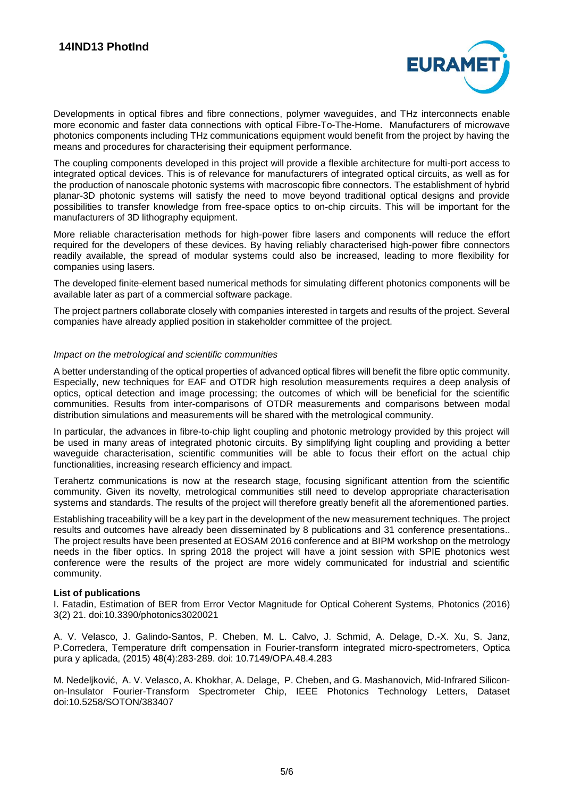

Developments in optical fibres and fibre connections, polymer waveguides, and THz interconnects enable more economic and faster data connections with optical Fibre-To-The-Home. Manufacturers of microwave photonics components including THz communications equipment would benefit from the project by having the means and procedures for characterising their equipment performance.

The coupling components developed in this project will provide a flexible architecture for multi-port access to integrated optical devices. This is of relevance for manufacturers of integrated optical circuits, as well as for the production of nanoscale photonic systems with macroscopic fibre connectors. The establishment of hybrid planar-3D photonic systems will satisfy the need to move beyond traditional optical designs and provide possibilities to transfer knowledge from free-space optics to on-chip circuits. This will be important for the manufacturers of 3D lithography equipment.

More reliable characterisation methods for high-power fibre lasers and components will reduce the effort required for the developers of these devices. By having reliably characterised high-power fibre connectors readily available, the spread of modular systems could also be increased, leading to more flexibility for companies using lasers.

The developed finite-element based numerical methods for simulating different photonics components will be available later as part of a commercial software package.

The project partners collaborate closely with companies interested in targets and results of the project. Several companies have already applied position in stakeholder committee of the project.

#### *Impact on the metrological and scientific communities*

A better understanding of the optical properties of advanced optical fibres will benefit the fibre optic community. Especially, new techniques for EAF and OTDR high resolution measurements requires a deep analysis of optics, optical detection and image processing; the outcomes of which will be beneficial for the scientific communities. Results from inter-comparisons of OTDR measurements and comparisons between modal distribution simulations and measurements will be shared with the metrological community.

In particular, the advances in fibre-to-chip light coupling and photonic metrology provided by this project will be used in many areas of integrated photonic circuits. By simplifying light coupling and providing a better waveguide characterisation, scientific communities will be able to focus their effort on the actual chip functionalities, increasing research efficiency and impact.

Terahertz communications is now at the research stage, focusing significant attention from the scientific community. Given its novelty, metrological communities still need to develop appropriate characterisation systems and standards. The results of the project will therefore greatly benefit all the aforementioned parties.

Establishing traceability will be a key part in the development of the new measurement techniques. The project results and outcomes have already been disseminated by 8 publications and 31 conference presentations.. The project results have been presented at EOSAM 2016 conference and at BIPM workshop on the metrology needs in the fiber optics. In spring 2018 the project will have a joint session with SPIE photonics west conference were the results of the project are more widely communicated for industrial and scientific community.

#### **List of publications**

I. Fatadin, Estimation of BER from Error Vector Magnitude for Optical Coherent Systems, Photonics (2016) 3(2) 21. doi:10.3390/photonics3020021

A. V. Velasco, J. Galindo-Santos, P. Cheben, M. L. Calvo, J. Schmid, A. Delage, D.-X. Xu, S. Janz, P.Corredera, Temperature drift compensation in Fourier-transform integrated micro-spectrometers, Optica pura y aplicada, (2015) 48(4):283-289. doi: 10.7149/OPA.48.4.283

M. Nedeljković, A. V. Velasco, A. Khokhar, A. Delage, P. Cheben, and G. Mashanovich, Mid-Infrared Siliconon-Insulator Fourier-Transform Spectrometer Chip, IEEE Photonics Technology Letters, Dataset doi:10.5258/SOTON/383407